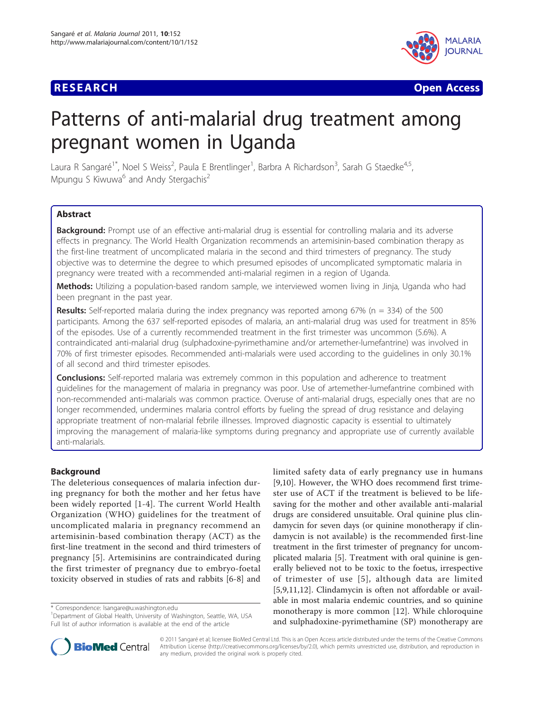

**RESEARCH CONSTRUCTION CONSTRUCTS** 

# Patterns of anti-malarial drug treatment among pregnant women in Uganda

Laura R Sangaré<sup>1\*</sup>, Noel S Weiss<sup>2</sup>, Paula E Brentlinger<sup>1</sup>, Barbra A Richardson<sup>3</sup>, Sarah G Staedke<sup>4,5</sup>, Mpungu S Kiwuwa<sup>6</sup> and Andy Stergachis<sup>2</sup>

# Abstract

Background: Prompt use of an effective anti-malarial drug is essential for controlling malaria and its adverse effects in pregnancy. The World Health Organization recommends an artemisinin-based combination therapy as the first-line treatment of uncomplicated malaria in the second and third trimesters of pregnancy. The study objective was to determine the degree to which presumed episodes of uncomplicated symptomatic malaria in pregnancy were treated with a recommended anti-malarial regimen in a region of Uganda.

Methods: Utilizing a population-based random sample, we interviewed women living in Jinja, Uganda who had been pregnant in the past year.

**Results:** Self-reported malaria during the index pregnancy was reported among 67% (n = 334) of the 500 participants. Among the 637 self-reported episodes of malaria, an anti-malarial drug was used for treatment in 85% of the episodes. Use of a currently recommended treatment in the first trimester was uncommon (5.6%). A contraindicated anti-malarial drug (sulphadoxine-pyrimethamine and/or artemether-lumefantrine) was involved in 70% of first trimester episodes. Recommended anti-malarials were used according to the guidelines in only 30.1% of all second and third trimester episodes.

**Conclusions:** Self-reported malaria was extremely common in this population and adherence to treatment guidelines for the management of malaria in pregnancy was poor. Use of artemether-lumefantrine combined with non-recommended anti-malarials was common practice. Overuse of anti-malarial drugs, especially ones that are no longer recommended, undermines malaria control efforts by fueling the spread of drug resistance and delaying appropriate treatment of non-malarial febrile illnesses. Improved diagnostic capacity is essential to ultimately improving the management of malaria-like symptoms during pregnancy and appropriate use of currently available anti-malarials.

# Background

The deleterious consequences of malaria infection during pregnancy for both the mother and her fetus have been widely reported [[1-4\]](#page-6-0). The current World Health Organization (WHO) guidelines for the treatment of uncomplicated malaria in pregnancy recommend an artemisinin-based combination therapy (ACT) as the first-line treatment in the second and third trimesters of pregnancy [[5\]](#page-6-0). Artemisinins are contraindicated during the first trimester of pregnancy due to embryo-foetal toxicity observed in studies of rats and rabbits [[6-8\]](#page-6-0) and

\* Correspondence: [lsangare@u.washington.edu](mailto:lsangare@u.washington.edu)

limited safety data of early pregnancy use in humans [[9,10\]](#page-6-0). However, the WHO does recommend first trimester use of ACT if the treatment is believed to be lifesaving for the mother and other available anti-malarial drugs are considered unsuitable. Oral quinine plus clindamycin for seven days (or quinine monotherapy if clindamycin is not available) is the recommended first-line treatment in the first trimester of pregnancy for uncomplicated malaria [\[5](#page-6-0)]. Treatment with oral quinine is generally believed not to be toxic to the foetus, irrespective of trimester of use [[5\]](#page-6-0), although data are limited [[5,9,11,12](#page-6-0)]. Clindamycin is often not affordable or available in most malaria endemic countries, and so quinine monotherapy is more common [[12\]](#page-6-0). While chloroquine and sulphadoxine-pyrimethamine (SP) monotherapy are



© 2011 Sangaré et al; licensee BioMed Central Ltd. This is an Open Access article distributed under the terms of the Creative Commons Attribution License [\(http://creativecommons.org/licenses/by/2.0](http://creativecommons.org/licenses/by/2.0)), which permits unrestricted use, distribution, and reproduction in any medium, provided the original work is properly cited.

<sup>&</sup>lt;sup>1</sup>Department of Global Health, University of Washington, Seattle, WA, USA Full list of author information is available at the end of the article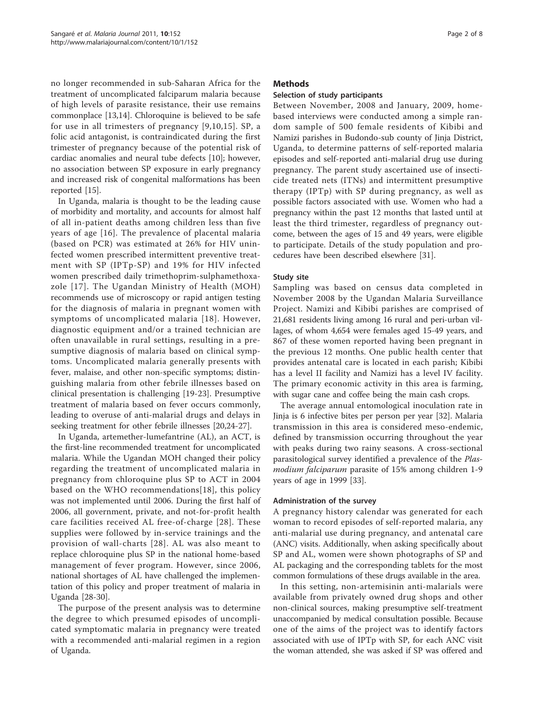no longer recommended in sub-Saharan Africa for the treatment of uncomplicated falciparum malaria because of high levels of parasite resistance, their use remains commonplace [\[13,14\]](#page-6-0). Chloroquine is believed to be safe for use in all trimesters of pregnancy [\[9,10,15](#page-6-0)]. SP, a folic acid antagonist, is contraindicated during the first trimester of pregnancy because of the potential risk of cardiac anomalies and neural tube defects [[10\]](#page-6-0); however, no association between SP exposure in early pregnancy and increased risk of congenital malformations has been reported [[15\]](#page-6-0).

In Uganda, malaria is thought to be the leading cause of morbidity and mortality, and accounts for almost half of all in-patient deaths among children less than five years of age [[16\]](#page-6-0). The prevalence of placental malaria (based on PCR) was estimated at 26% for HIV uninfected women prescribed intermittent preventive treatment with SP (IPTp-SP) and 19% for HIV infected women prescribed daily trimethoprim-sulphamethoxazole [\[17](#page-6-0)]. The Ugandan Ministry of Health (MOH) recommends use of microscopy or rapid antigen testing for the diagnosis of malaria in pregnant women with symptoms of uncomplicated malaria [[18\]](#page-6-0). However, diagnostic equipment and/or a trained technician are often unavailable in rural settings, resulting in a presumptive diagnosis of malaria based on clinical symptoms. Uncomplicated malaria generally presents with fever, malaise, and other non-specific symptoms; distinguishing malaria from other febrile illnesses based on clinical presentation is challenging [\[19](#page-6-0)-[23\]](#page-6-0). Presumptive treatment of malaria based on fever occurs commonly, leading to overuse of anti-malarial drugs and delays in seeking treatment for other febrile illnesses [[20,24](#page-6-0)-[27\]](#page-7-0).

In Uganda, artemether-lumefantrine (AL), an ACT, is the first-line recommended treatment for uncomplicated malaria. While the Ugandan MOH changed their policy regarding the treatment of uncomplicated malaria in pregnancy from chloroquine plus SP to ACT in 2004 based on the WHO recommendations[[18](#page-6-0)], this policy was not implemented until 2006. During the first half of 2006, all government, private, and not-for-profit health care facilities received AL free-of-charge [[28](#page-7-0)]. These supplies were followed by in-service trainings and the provision of wall-charts [\[28](#page-7-0)]. AL was also meant to replace chloroquine plus SP in the national home-based management of fever program. However, since 2006, national shortages of AL have challenged the implementation of this policy and proper treatment of malaria in Uganda [\[28-30](#page-7-0)].

The purpose of the present analysis was to determine the degree to which presumed episodes of uncomplicated symptomatic malaria in pregnancy were treated with a recommended anti-malarial regimen in a region of Uganda.

# Methods

#### Selection of study participants

Between November, 2008 and January, 2009, homebased interviews were conducted among a simple random sample of 500 female residents of Kibibi and Namizi parishes in Budondo-sub county of Jinja District, Uganda, to determine patterns of self-reported malaria episodes and self-reported anti-malarial drug use during pregnancy. The parent study ascertained use of insecticide treated nets (ITNs) and intermittent presumptive therapy (IPTp) with SP during pregnancy, as well as possible factors associated with use. Women who had a pregnancy within the past 12 months that lasted until at least the third trimester, regardless of pregnancy outcome, between the ages of 15 and 49 years, were eligible to participate. Details of the study population and procedures have been described elsewhere [[31\]](#page-7-0).

# Study site

Sampling was based on census data completed in November 2008 by the Ugandan Malaria Surveillance Project. Namizi and Kibibi parishes are comprised of 21,681 residents living among 16 rural and peri-urban villages, of whom 4,654 were females aged 15-49 years, and 867 of these women reported having been pregnant in the previous 12 months. One public health center that provides antenatal care is located in each parish; Kibibi has a level II facility and Namizi has a level IV facility. The primary economic activity in this area is farming, with sugar cane and coffee being the main cash crops.

The average annual entomological inoculation rate in Jinja is 6 infective bites per person per year [\[32](#page-7-0)]. Malaria transmission in this area is considered meso-endemic, defined by transmission occurring throughout the year with peaks during two rainy seasons. A cross-sectional parasitological survey identified a prevalence of the Plasmodium falciparum parasite of 15% among children 1-9 years of age in 1999 [[33](#page-7-0)].

#### Administration of the survey

A pregnancy history calendar was generated for each woman to record episodes of self-reported malaria, any anti-malarial use during pregnancy, and antenatal care (ANC) visits. Additionally, when asking specifically about SP and AL, women were shown photographs of SP and AL packaging and the corresponding tablets for the most common formulations of these drugs available in the area.

In this setting, non-artemisinin anti-malarials were available from privately owned drug shops and other non-clinical sources, making presumptive self-treatment unaccompanied by medical consultation possible. Because one of the aims of the project was to identify factors associated with use of IPTp with SP, for each ANC visit the woman attended, she was asked if SP was offered and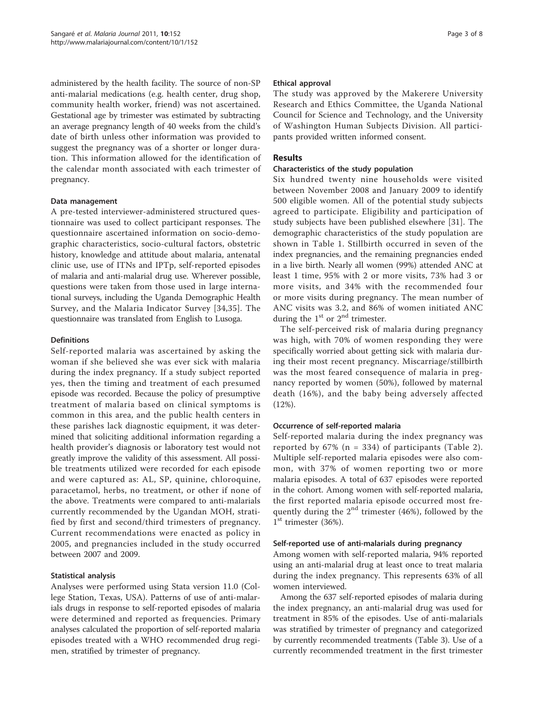administered by the health facility. The source of non-SP anti-malarial medications (e.g. health center, drug shop, community health worker, friend) was not ascertained. Gestational age by trimester was estimated by subtracting an average pregnancy length of 40 weeks from the child's date of birth unless other information was provided to suggest the pregnancy was of a shorter or longer duration. This information allowed for the identification of the calendar month associated with each trimester of pregnancy.

# Data management

A pre-tested interviewer-administered structured questionnaire was used to collect participant responses. The questionnaire ascertained information on socio-demographic characteristics, socio-cultural factors, obstetric history, knowledge and attitude about malaria, antenatal clinic use, use of ITNs and IPTp, self-reported episodes of malaria and anti-malarial drug use. Wherever possible, questions were taken from those used in large international surveys, including the Uganda Demographic Health Survey, and the Malaria Indicator Survey [[34,35\]](#page-7-0). The questionnaire was translated from English to Lusoga.

# **Definitions**

Self-reported malaria was ascertained by asking the woman if she believed she was ever sick with malaria during the index pregnancy. If a study subject reported yes, then the timing and treatment of each presumed episode was recorded. Because the policy of presumptive treatment of malaria based on clinical symptoms is common in this area, and the public health centers in these parishes lack diagnostic equipment, it was determined that soliciting additional information regarding a health provider's diagnosis or laboratory test would not greatly improve the validity of this assessment. All possible treatments utilized were recorded for each episode and were captured as: AL, SP, quinine, chloroquine, paracetamol, herbs, no treatment, or other if none of the above. Treatments were compared to anti-malarials currently recommended by the Ugandan MOH, stratified by first and second/third trimesters of pregnancy. Current recommendations were enacted as policy in 2005, and pregnancies included in the study occurred between 2007 and 2009.

#### Statistical analysis

Analyses were performed using Stata version 11.0 (College Station, Texas, USA). Patterns of use of anti-malarials drugs in response to self-reported episodes of malaria were determined and reported as frequencies. Primary analyses calculated the proportion of self-reported malaria episodes treated with a WHO recommended drug regimen, stratified by trimester of pregnancy.

#### Ethical approval

The study was approved by the Makerere University Research and Ethics Committee, the Uganda National Council for Science and Technology, and the University of Washington Human Subjects Division. All participants provided written informed consent.

# Results

#### Characteristics of the study population

Six hundred twenty nine households were visited between November 2008 and January 2009 to identify 500 eligible women. All of the potential study subjects agreed to participate. Eligibility and participation of study subjects have been published elsewhere [\[31](#page-7-0)]. The demographic characteristics of the study population are shown in Table [1.](#page-3-0) Stillbirth occurred in seven of the index pregnancies, and the remaining pregnancies ended in a live birth. Nearly all women (99%) attended ANC at least 1 time, 95% with 2 or more visits, 73% had 3 or more visits, and 34% with the recommended four or more visits during pregnancy. The mean number of ANC visits was 3.2, and 86% of women initiated ANC during the  $1<sup>st</sup>$  or  $2<sup>nd</sup>$  trimester.

The self-perceived risk of malaria during pregnancy was high, with 70% of women responding they were specifically worried about getting sick with malaria during their most recent pregnancy. Miscarriage/stillbirth was the most feared consequence of malaria in pregnancy reported by women (50%), followed by maternal death (16%), and the baby being adversely affected (12%).

# Occurrence of self-reported malaria

Self-reported malaria during the index pregnancy was reported by  $67\%$  (n = 334) of participants (Table [2\)](#page-3-0). Multiple self-reported malaria episodes were also common, with 37% of women reporting two or more malaria episodes. A total of 637 episodes were reported in the cohort. Among women with self-reported malaria, the first reported malaria episode occurred most frequently during the  $2<sup>nd</sup>$  trimester (46%), followed by the  $1<sup>st</sup>$  trimester (36%).

#### Self-reported use of anti-malarials during pregnancy

Among women with self-reported malaria, 94% reported using an anti-malarial drug at least once to treat malaria during the index pregnancy. This represents 63% of all women interviewed.

Among the 637 self-reported episodes of malaria during the index pregnancy, an anti-malarial drug was used for treatment in 85% of the episodes. Use of anti-malarials was stratified by trimester of pregnancy and categorized by currently recommended treatments (Table [3\)](#page-4-0). Use of a currently recommended treatment in the first trimester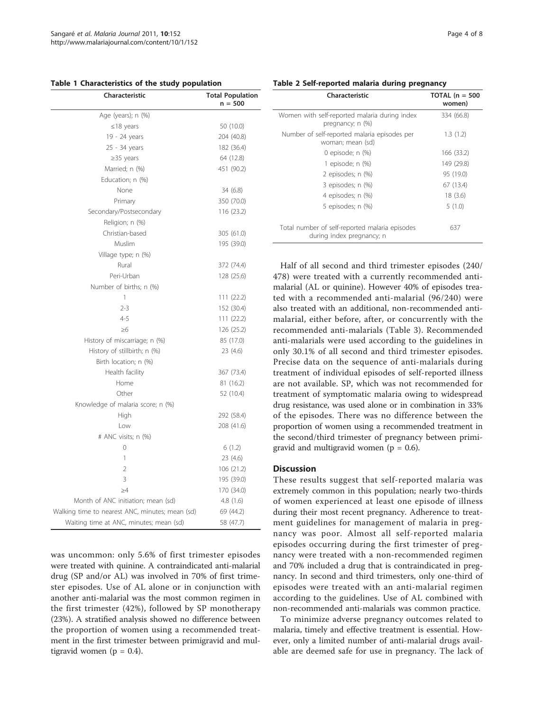#### <span id="page-3-0"></span>Table 1 Characteristics of the study population

| Characteristic                                  | <b>Total Population</b><br>$n = 500$ |  |
|-------------------------------------------------|--------------------------------------|--|
| Age (years); n (%)                              |                                      |  |
| $\leq$ 18 years                                 | 50 (10.0)                            |  |
| 19 - 24 years                                   | 204 (40.8)                           |  |
| 25 - 34 years                                   | 182 (36.4)                           |  |
| $\geq$ 35 years                                 | 64 (12.8)                            |  |
| Married; n (%)                                  | 451 (90.2)                           |  |
| Education; n (%)                                |                                      |  |
| None                                            | 34(6.8)                              |  |
| Primary                                         | 350 (70.0)                           |  |
| Secondary/Postsecondary                         | 116 (23.2)                           |  |
| Religion; n (%)                                 |                                      |  |
| Christian-based                                 | 305 (61.0)                           |  |
| Muslim                                          | 195 (39.0)                           |  |
| Village type; n (%)                             |                                      |  |
| Rural                                           | 372 (74.4)                           |  |
| Peri-Urban                                      | 128 (25.6)                           |  |
| Number of births; n (%)                         |                                      |  |
| 1                                               | 111 (22.2)                           |  |
| $2 - 3$                                         | 152 (30.4)                           |  |
| $4 - 5$                                         | 111(22.2)                            |  |
| ≥6                                              | 126 (25.2)                           |  |
| History of miscarriage; n (%)                   | 85 (17.0)                            |  |
| History of stillbirth; n (%)                    | 23(4.6)                              |  |
| Birth location; n (%)                           |                                      |  |
| Health facility                                 | 367 (73.4)                           |  |
| Home                                            | 81 (16.2)                            |  |
| Other                                           | 52 (10.4)                            |  |
| Knowledge of malaria score; n (%)               |                                      |  |
| High                                            | 292 (58.4)                           |  |
| Low                                             | 208 (41.6)                           |  |
| # ANC visits; n (%)                             |                                      |  |
| $\Omega$                                        | 6(1.2)                               |  |
| 1                                               | 23(4.6)                              |  |
| $\overline{2}$                                  | 106 (21.2)                           |  |
| 3                                               | 195 (39.0)                           |  |
| $\geq 4$                                        | 170 (34.0)                           |  |
| Month of ANC initiation; mean (sd)              | 4.8 $(1.6)$                          |  |
| Walking time to nearest ANC, minutes; mean (sd) | 69 (44.2)                            |  |
| Waiting time at ANC, minutes; mean (sd)         | 58 (47.7)                            |  |

was uncommon: only 5.6% of first trimester episodes were treated with quinine. A contraindicated anti-malarial drug (SP and/or AL) was involved in 70% of first trimester episodes. Use of AL alone or in conjunction with another anti-malarial was the most common regimen in the first trimester (42%), followed by SP monotherapy (23%). A stratified analysis showed no difference between the proportion of women using a recommended treatment in the first trimester between primigravid and multigravid women ( $p = 0.4$ ).

# Table 2 Self-reported malaria during pregnancy

| Characteristic                                                              | TOTAL $(n = 500$<br>women) |  |
|-----------------------------------------------------------------------------|----------------------------|--|
| Women with self-reported malaria during index<br>pregnancy; n (%)           | 334 (66.8)                 |  |
| Number of self-reported malaria episodes per<br>woman; mean (sd)            | 1.3(1.2)                   |  |
| 0 episode; $n$ $(\%)$                                                       | 166 (33.2)                 |  |
| 1 episode; $n$ $(\%)$                                                       | 149 (29.8)                 |  |
| 2 episodes; n (%)                                                           | 95 (19.0)                  |  |
| 3 episodes; n (%)                                                           | 67 (13.4)                  |  |
| 4 episodes; n (%)                                                           | 18(3.6)                    |  |
| 5 episodes; n (%)                                                           | 5(1.0)                     |  |
| Total number of self-reported malaria episodes<br>during index pregnancy; n | 637                        |  |

Half of all second and third trimester episodes (240/ 478) were treated with a currently recommended antimalarial (AL or quinine). However 40% of episodes treated with a recommended anti-malarial (96/240) were also treated with an additional, non-recommended antimalarial, either before, after, or concurrently with the recommended anti-malarials (Table [3\)](#page-4-0). Recommended anti-malarials were used according to the guidelines in only 30.1% of all second and third trimester episodes. Precise data on the sequence of anti-malarials during treatment of individual episodes of self-reported illness are not available. SP, which was not recommended for treatment of symptomatic malaria owing to widespread drug resistance, was used alone or in combination in 33% of the episodes. There was no difference between the proportion of women using a recommended treatment in the second/third trimester of pregnancy between primigravid and multigravid women ( $p = 0.6$ ).

#### **Discussion**

These results suggest that self-reported malaria was extremely common in this population; nearly two-thirds of women experienced at least one episode of illness during their most recent pregnancy. Adherence to treatment guidelines for management of malaria in pregnancy was poor. Almost all self-reported malaria episodes occurring during the first trimester of pregnancy were treated with a non-recommended regimen and 70% included a drug that is contraindicated in pregnancy. In second and third trimesters, only one-third of episodes were treated with an anti-malarial regimen according to the guidelines. Use of AL combined with non-recommended anti-malarials was common practice.

To minimize adverse pregnancy outcomes related to malaria, timely and effective treatment is essential. However, only a limited number of anti-malarial drugs available are deemed safe for use in pregnancy. The lack of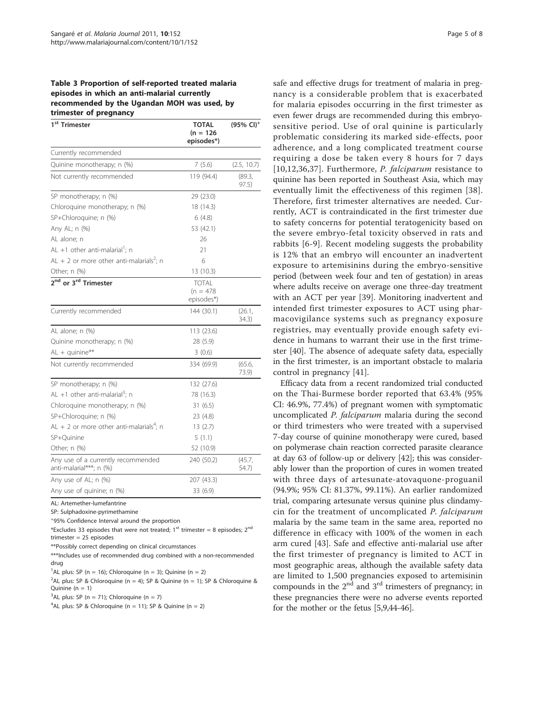# <span id="page-4-0"></span>Table 3 Proportion of self-reported treated malaria episodes in which an anti-malarial currently recommended by the Ugandan MOH was used, by trimester of pregnancy

| 1 <sup>st</sup> Trimester                                     | <b>TOTAL</b><br>(n = 126<br>episodes*)    | $(95\% \text{ Cl})^{+}$ |
|---------------------------------------------------------------|-------------------------------------------|-------------------------|
| Currently recommended                                         |                                           |                         |
| Quinine monotherapy; n (%)                                    | 7(5.6)                                    | (2.5, 10.7)             |
| Not currently recommended                                     | 119 (94.4)                                | (89.3,<br>97.5)         |
| SP monotherapy; n (%)                                         | 29 (23.0)                                 |                         |
| Chloroquine monotherapy; n (%)                                | 18 (14.3)                                 |                         |
| SP+Chloroquine; n (%)                                         | 6(4.8)                                    |                         |
| Any AL; n (%)                                                 | 53 (42.1)                                 |                         |
| AL alone; n                                                   | 26                                        |                         |
| AL +1 other anti-malarial'; n                                 | 21                                        |                         |
| AL + 2 or more other anti-malarials <sup>2</sup> ; n          | 6                                         |                         |
| Other; n (%)                                                  | 13 (10.3)                                 |                         |
| 2 <sup>nd</sup> or 3 <sup>rd</sup> Trimester                  | <b>TOTAL</b><br>$(n = 478)$<br>episodes*) |                         |
| Currently recommended                                         | 144 (30.1)                                | (26.1,<br>34.3)         |
| AL alone; n (%)                                               | 113 (23.6)                                |                         |
| Quinine monotherapy; n (%)                                    | 28 (5.9)                                  |                         |
| $AL +$ quinine**                                              | 3(0.6)                                    |                         |
| Not currently recommended                                     | 334 (69.9)                                | (65.6,<br>73.9)         |
| SP monotherapy; n (%)                                         | 132 (27.6)                                |                         |
| AL +1 other anti-malarial <sup>3</sup> ; n                    | 78 (16.3)                                 |                         |
| Chloroquine monotherapy; n (%)                                | 31(6.5)                                   |                         |
| SP+Chloroquine; n (%)                                         | 23 (4.8)                                  |                         |
| $AL + 2$ or more other anti-malarials <sup>4</sup> ; n        | 13(2.7)                                   |                         |
| SP+Quinine                                                    | 5(1.1)                                    |                         |
| Other; n (%)                                                  | 52 (10.9)                                 |                         |
| Any use of a currently recommended<br>anti-malarial***; n (%) | 240 (50.2)                                | (45.7,<br>54.7)         |
| Any use of AL; n (%)                                          | 207 (43.3)                                |                         |
| Any use of quinine; n (%)                                     | 33 (6.9)                                  |                         |

AL: Artemether-lumefantrine

SP: Sulphadoxine-pyrimethamine

+ 95% Confidence Interval around the proportion

\*Excludes 33 episodes that were not treated;  $1^{st}$  trimester = 8 episodes;  $2^{nd}$ trimester = 25 episodes

\*\*Possibly correct depending on clinical circumstances

\*\*\*Includes use of recommended drug combined with a non-recommended drug

<sup>1</sup>AL plus: SP (n = 16); Chloroquine (n = 3); Quinine (n = 2)

<sup>2</sup>AL plus: SP & Chloroquine (n = 4); SP & Quinine (n = 1); SP & Chloroquine & Quinine  $(n = 1)$ 

 $3$ AL plus: SP (n = 71); Chloroquine (n = 7)

<sup>4</sup>AL plus: SP & Chloroquine (n = 11); SP & Quinine (n = 2)

safe and effective drugs for treatment of malaria in pregnancy is a considerable problem that is exacerbated for malaria episodes occurring in the first trimester as even fewer drugs are recommended during this embryosensitive period. Use of oral quinine is particularly problematic considering its marked side-effects, poor adherence, and a long complicated treatment course requiring a dose be taken every 8 hours for 7 days [[10,12,](#page-6-0)[36,37](#page-7-0)]. Furthermore, P. falciparum resistance to quinine has been reported in Southeast Asia, which may eventually limit the effectiveness of this regimen [[38](#page-7-0)]. Therefore, first trimester alternatives are needed. Currently, ACT is contraindicated in the first trimester due to safety concerns for potential teratogenicity based on the severe embryo-fetal toxicity observed in rats and rabbits [\[6](#page-6-0)-[9](#page-6-0)]. Recent modeling suggests the probability is 12% that an embryo will encounter an inadvertent exposure to artemisinins during the embryo-sensitive period (between week four and ten of gestation) in areas where adults receive on average one three-day treatment with an ACT per year [[39\]](#page-7-0). Monitoring inadvertent and intended first trimester exposures to ACT using pharmacovigilance systems such as pregnancy exposure registries, may eventually provide enough safety evidence in humans to warrant their use in the first trimester [\[40](#page-7-0)]. The absence of adequate safety data, especially in the first trimester, is an important obstacle to malaria control in pregnancy [[41](#page-7-0)].

Efficacy data from a recent randomized trial conducted on the Thai-Burmese border reported that 63.4% (95% CI: 46.9%, 77.4%) of pregnant women with symptomatic uncomplicated P. falciparum malaria during the second or third trimesters who were treated with a supervised 7-day course of quinine monotherapy were cured, based on polymerase chain reaction corrected parasite clearance at day 63 of follow-up or delivery [\[42\]](#page-7-0); this was considerably lower than the proportion of cures in women treated with three days of artesunate-atovaquone-proguanil (94.9%; 95% CI: 81.37%, 99.11%). An earlier randomized trial, comparing artesunate versus quinine plus clindamycin for the treatment of uncomplicated P. falciparum malaria by the same team in the same area, reported no difference in efficacy with 100% of the women in each arm cured [[43\]](#page-7-0). Safe and effective anti-malarial use after the first trimester of pregnancy is limited to ACT in most geographic areas, although the available safety data are limited to 1,500 pregnancies exposed to artemisinin compounds in the  $2<sup>nd</sup>$  and  $3<sup>rd</sup>$  trimesters of pregnancy; in these pregnancies there were no adverse events reported for the mother or the fetus [\[5,9,](#page-6-0)[44-46](#page-7-0)].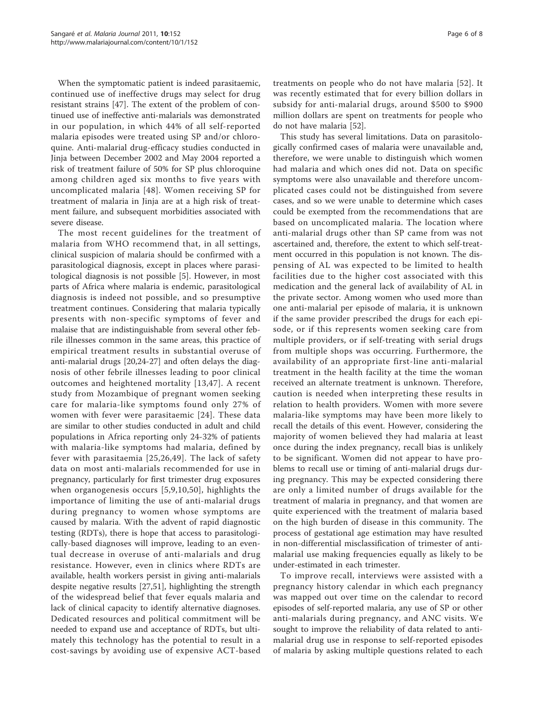When the symptomatic patient is indeed parasitaemic, continued use of ineffective drugs may select for drug resistant strains [\[47\]](#page-7-0). The extent of the problem of continued use of ineffective anti-malarials was demonstrated in our population, in which 44% of all self-reported malaria episodes were treated using SP and/or chloroquine. Anti-malarial drug-efficacy studies conducted in Jinja between December 2002 and May 2004 reported a risk of treatment failure of 50% for SP plus chloroquine among children aged six months to five years with uncomplicated malaria [[48\]](#page-7-0). Women receiving SP for treatment of malaria in Jinja are at a high risk of treatment failure, and subsequent morbidities associated with severe disease.

The most recent guidelines for the treatment of malaria from WHO recommend that, in all settings, clinical suspicion of malaria should be confirmed with a parasitological diagnosis, except in places where parasitological diagnosis is not possible [[5\]](#page-6-0). However, in most parts of Africa where malaria is endemic, parasitological diagnosis is indeed not possible, and so presumptive treatment continues. Considering that malaria typically presents with non-specific symptoms of fever and malaise that are indistinguishable from several other febrile illnesses common in the same areas, this practice of empirical treatment results in substantial overuse of anti-malarial drugs [\[20,24](#page-6-0)-[27](#page-7-0)] and often delays the diagnosis of other febrile illnesses leading to poor clinical outcomes and heightened mortality [[13](#page-6-0),[47](#page-7-0)]. A recent study from Mozambique of pregnant women seeking care for malaria-like symptoms found only 27% of women with fever were parasitaemic [[24\]](#page-6-0). These data are similar to other studies conducted in adult and child populations in Africa reporting only 24-32% of patients with malaria-like symptoms had malaria, defined by fever with parasitaemia [[25,](#page-6-0)[26,49](#page-7-0)]. The lack of safety data on most anti-malarials recommended for use in pregnancy, particularly for first trimester drug exposures when organogenesis occurs [[5](#page-6-0),[9,10,](#page-6-0)[50](#page-7-0)], highlights the importance of limiting the use of anti-malarial drugs during pregnancy to women whose symptoms are caused by malaria. With the advent of rapid diagnostic testing (RDTs), there is hope that access to parasitologically-based diagnoses will improve, leading to an eventual decrease in overuse of anti-malarials and drug resistance. However, even in clinics where RDTs are available, health workers persist in giving anti-malarials despite negative results [\[27,51](#page-7-0)], highlighting the strength of the widespread belief that fever equals malaria and lack of clinical capacity to identify alternative diagnoses. Dedicated resources and political commitment will be needed to expand use and acceptance of RDTs, but ultimately this technology has the potential to result in a cost-savings by avoiding use of expensive ACT-based

treatments on people who do not have malaria [[52\]](#page-7-0). It was recently estimated that for every billion dollars in subsidy for anti-malarial drugs, around \$500 to \$900 million dollars are spent on treatments for people who do not have malaria [\[52](#page-7-0)].

This study has several limitations. Data on parasitologically confirmed cases of malaria were unavailable and, therefore, we were unable to distinguish which women had malaria and which ones did not. Data on specific symptoms were also unavailable and therefore uncomplicated cases could not be distinguished from severe cases, and so we were unable to determine which cases could be exempted from the recommendations that are based on uncomplicated malaria. The location where anti-malarial drugs other than SP came from was not ascertained and, therefore, the extent to which self-treatment occurred in this population is not known. The dispensing of AL was expected to be limited to health facilities due to the higher cost associated with this medication and the general lack of availability of AL in the private sector. Among women who used more than one anti-malarial per episode of malaria, it is unknown if the same provider prescribed the drugs for each episode, or if this represents women seeking care from multiple providers, or if self-treating with serial drugs from multiple shops was occurring. Furthermore, the availability of an appropriate first-line anti-malarial treatment in the health facility at the time the woman received an alternate treatment is unknown. Therefore, caution is needed when interpreting these results in relation to health providers. Women with more severe malaria-like symptoms may have been more likely to recall the details of this event. However, considering the majority of women believed they had malaria at least once during the index pregnancy, recall bias is unlikely to be significant. Women did not appear to have problems to recall use or timing of anti-malarial drugs during pregnancy. This may be expected considering there are only a limited number of drugs available for the treatment of malaria in pregnancy, and that women are quite experienced with the treatment of malaria based on the high burden of disease in this community. The process of gestational age estimation may have resulted in non-differential misclassification of trimester of antimalarial use making frequencies equally as likely to be under-estimated in each trimester.

To improve recall, interviews were assisted with a pregnancy history calendar in which each pregnancy was mapped out over time on the calendar to record episodes of self-reported malaria, any use of SP or other anti-malarials during pregnancy, and ANC visits. We sought to improve the reliability of data related to antimalarial drug use in response to self-reported episodes of malaria by asking multiple questions related to each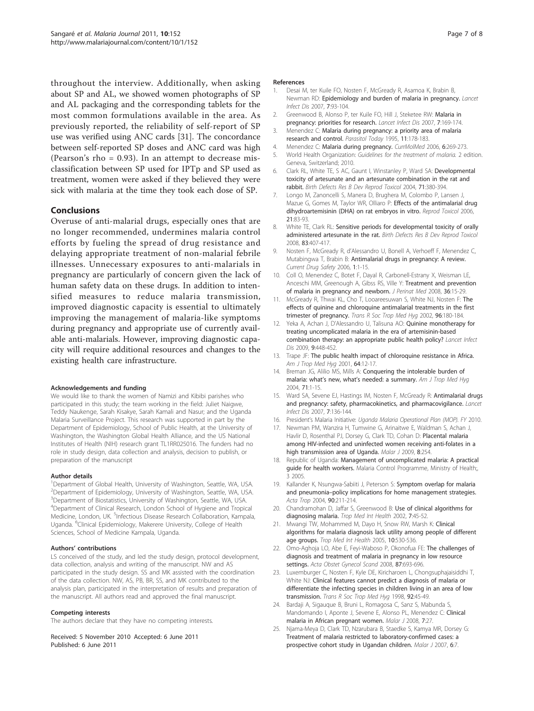<span id="page-6-0"></span>throughout the interview. Additionally, when asking about SP and AL, we showed women photographs of SP and AL packaging and the corresponding tablets for the most common formulations available in the area. As previously reported, the reliability of self-report of SP use was verified using ANC cards [\[31](#page-7-0)]. The concordance between self-reported SP doses and ANC card was high (Pearson's rho = 0.93). In an attempt to decrease misclassification between SP used for IPTp and SP used as treatment, women were asked if they believed they were sick with malaria at the time they took each dose of SP.

# Conclusions

Overuse of anti-malarial drugs, especially ones that are no longer recommended, undermines malaria control efforts by fueling the spread of drug resistance and delaying appropriate treatment of non-malarial febrile illnesses. Unnecessary exposures to anti-malarials in pregnancy are particularly of concern given the lack of human safety data on these drugs. In addition to intensified measures to reduce malaria transmission, improved diagnostic capacity is essential to ultimately improving the management of malaria-like symptoms during pregnancy and appropriate use of currently available anti-malarials. However, improving diagnostic capacity will require additional resources and changes to the existing health care infrastructure.

#### Acknowledgements and funding

We would like to thank the women of Namizi and Kibibi parishes who participated in this study; the team working in the field: Juliet Naigwe, Teddy Naukenge, Sarah Kisakye, Sarah Kamali and Nasur; and the Uganda Malaria Surveillance Project. This research was supported in part by the Department of Epidemiology, School of Public Health, at the University of Washington, the Washington Global Health Alliance, and the US National Institutes of Health (NIH) research grant TL1RR025016. The funders had no role in study design, data collection and analysis, decision to publish, or preparation of the manuscript

#### Author details

<sup>1</sup>Department of Global Health, University of Washington, Seattle, WA, USA. 2 Department of Epidemiology, University of Washington, Seattle, WA, USA. <sup>3</sup>Department of Biostatistics, University of Washington, Seattle, WA, USA. 4 Department of Clinical Research, London School of Hygiene and Tropical Medicine, London, UK. <sup>5</sup>Infectious Disease Research Collaboration, Kampala, Uganda. <sup>6</sup>Clinical Epidemiology, Makerere University, College of Health Sciences, School of Medicine Kampala, Uganda.

#### Authors' contributions

LS conceived of the study, and led the study design, protocol development, data collection, analysis and writing of the manuscript. NW and AS participated in the study design. SS and MK assisted with the coordination of the data collection. NW, AS, PB, BR, SS, and MK contributed to the analysis plan, participated in the interpretation of results and preparation of the manuscript. All authors read and approved the final manuscript.

#### Competing interests

The authors declare that they have no competing interests.

Received: 5 November 2010 Accepted: 6 June 2011 Published: 6 June 2011

#### References

- 1. Desai M, ter Kuile FO, Nosten F, McGready R, Asamoa K, Brabin B, Newman RD: [Epidemiology and burden of malaria in pregnancy.](http://www.ncbi.nlm.nih.gov/pubmed/17251080?dopt=Abstract) Lancet Infect Dis 2007, 7:93-104.
- 2. Greenwood B, Alonso P, ter Kuile FO, Hill J, Steketee RW: [Malaria in](http://www.ncbi.nlm.nih.gov/pubmed/17251087?dopt=Abstract)
- [pregnancy: priorities for research.](http://www.ncbi.nlm.nih.gov/pubmed/17251087?dopt=Abstract) Lancet Infect Dis 2007, 7:169-174. 3. Menendez C: [Malaria during pregnancy: a priority area of malaria](http://www.ncbi.nlm.nih.gov/pubmed/15275350?dopt=Abstract)
- [research and control.](http://www.ncbi.nlm.nih.gov/pubmed/15275350?dopt=Abstract) Parasitol Today 1995, 11:178-183.
- 4. Menendez C: Malaria during pregnancy. CurrMolMed 2006, 6:269-273.
- 5. World Health Organization: Guidelines for the treatment of malaria. 2 edition. Geneva, Switzerland; 2010.
- 6. Clark RL, White TE, S AC, Gaunt I, Winstanley P, Ward SA: [Developmental](http://www.ncbi.nlm.nih.gov/pubmed/15617018?dopt=Abstract) [toxicity of artesunate and an artesunate combination in the rat and](http://www.ncbi.nlm.nih.gov/pubmed/15617018?dopt=Abstract) [rabbit.](http://www.ncbi.nlm.nih.gov/pubmed/15617018?dopt=Abstract) Birth Defects Res B Dev Reprod Toxicol 2004, 71:380-394.
- 7. Longo M, Zanoncelli S, Manera D, Brughera M, Colombo P, Lansen J, Mazue G, Gomes M, Taylor WR, Olliaro P: [Effects of the antimalarial drug](http://www.ncbi.nlm.nih.gov/pubmed/16026965?dopt=Abstract) [dihydroartemisinin \(DHA\) on rat embryos in vitro.](http://www.ncbi.nlm.nih.gov/pubmed/16026965?dopt=Abstract) Reprod Toxicol 2006. 21:83-93.
- 8. White TE, Clark RL: [Sensitive periods for developmental toxicity of orally](http://www.ncbi.nlm.nih.gov/pubmed/18615704?dopt=Abstract) [administered artesunate in the rat.](http://www.ncbi.nlm.nih.gov/pubmed/18615704?dopt=Abstract) Birth Defects Res B Dev Reprod Toxicol 2008, 83:407-417.
- 9. Nosten F, McGready R, d'Alessandro U, Bonell A, Verhoeff F, Menendez C, Mutabingwa T, Brabin B: [Antimalarial drugs in pregnancy: A review.](http://www.ncbi.nlm.nih.gov/pubmed/18690910?dopt=Abstract) Current Drug Safety 2006, 1:1-15.
- 10. Coll O, Menendez C, Botet F, Dayal R, Carbonell-Estrany X, Weisman LE, Anceschi MM, Greenough A, Gibss RS, Ville Y: [Treatment and prevention](http://www.ncbi.nlm.nih.gov/pubmed/18184095?dopt=Abstract) [of malaria in pregnancy and newborn.](http://www.ncbi.nlm.nih.gov/pubmed/18184095?dopt=Abstract) J Perinat Med 2008, 36:15-29.
- 11. McGready R, Thwai KL, Cho T, Looareesuwan S, White NJ, Nosten F: [The](http://www.ncbi.nlm.nih.gov/pubmed/12055810?dopt=Abstract) [effects of quinine and chloroquine antimalarial treatments in the first](http://www.ncbi.nlm.nih.gov/pubmed/12055810?dopt=Abstract) [trimester of pregnancy.](http://www.ncbi.nlm.nih.gov/pubmed/12055810?dopt=Abstract) Trans R Soc Trop Med Hyg 2002, 96:180-184.
- 12. Yeka A, Achan J, D'Alessandro U, Talisuna AO: [Quinine monotherapy for](http://www.ncbi.nlm.nih.gov/pubmed/19555904?dopt=Abstract) [treating uncomplicated malaria in the era of artemisinin-based](http://www.ncbi.nlm.nih.gov/pubmed/19555904?dopt=Abstract) [combination therapy: an appropriate public health policy?](http://www.ncbi.nlm.nih.gov/pubmed/19555904?dopt=Abstract) Lancet Infect Dis 2009, 9:448-452.
- 13. Trape JF: [The public health impact of chloroquine resistance in Africa.](http://www.ncbi.nlm.nih.gov/pubmed/11425173?dopt=Abstract) Am J Trop Med Hyg 2001, 64:12-17.
- 14. Breman JG, Alilio MS, Mills A: [Conquering the intolerable burden of](http://www.ncbi.nlm.nih.gov/pubmed/15516653?dopt=Abstract) malaria: what's new, what'[s needed: a summary.](http://www.ncbi.nlm.nih.gov/pubmed/15516653?dopt=Abstract) Am J Trop Med Hyg 2004, 71:1-15.
- 15. Ward SA, Sevene EJ, Hastings IM, Nosten F, McGready R: [Antimalarial drugs](http://www.ncbi.nlm.nih.gov/pubmed/17251084?dopt=Abstract) [and pregnancy: safety, pharmacokinetics, and pharmacovigilance.](http://www.ncbi.nlm.nih.gov/pubmed/17251084?dopt=Abstract) Lancet Infect Dis 2007, 7:136-144.
- 16. President's Malaria Initiative: Uganda Malaria Operational Plan (MOP). FY 2010.
- 17. Newman PM, Wanzira H, Tumwine G, Arinaitwe E, Waldman S, Achan J, Havlir D, Rosenthal PJ, Dorsey G, Clark TD, Cohan D: [Placental malaria](http://www.ncbi.nlm.nih.gov/pubmed/19912657?dopt=Abstract) [among HIV-infected and uninfected women receiving anti-folates in a](http://www.ncbi.nlm.nih.gov/pubmed/19912657?dopt=Abstract) [high transmission area of Uganda.](http://www.ncbi.nlm.nih.gov/pubmed/19912657?dopt=Abstract) Malar J 2009, 8:254.
- 18. Republic of Uganda: Management of uncomplicated malaria: A practical guide for health workers. Malaria Control Programme, Ministry of Health;, 3 2005.
- 19. Kallander K, Nsungwa-Sabiiti J, Peterson S: [Symptom overlap for malaria](http://www.ncbi.nlm.nih.gov/pubmed/15177148?dopt=Abstract) and pneumonia–[policy implications for home management strategies.](http://www.ncbi.nlm.nih.gov/pubmed/15177148?dopt=Abstract) Acta Trop 2004, 90:211-214.
- 20. Chandramohan D, Jaffar S, Greenwood B: [Use of clinical algorithms for](http://www.ncbi.nlm.nih.gov/pubmed/11851954?dopt=Abstract) [diagnosing malaria.](http://www.ncbi.nlm.nih.gov/pubmed/11851954?dopt=Abstract) Trop Med Int Health 2002, 7:45-52.
- 21. Mwangi TW, Mohammed M, Dayo H, Snow RW, Marsh K: [Clinical](http://www.ncbi.nlm.nih.gov/pubmed/15941415?dopt=Abstract) [algorithms for malaria diagnosis lack utility among people of different](http://www.ncbi.nlm.nih.gov/pubmed/15941415?dopt=Abstract) [age groups.](http://www.ncbi.nlm.nih.gov/pubmed/15941415?dopt=Abstract) Trop Med Int Health 2005, 10:530-536.
- 22. Omo-Aghoja LO, Abe E, Feyi-Waboso P, Okonofua FE: [The challenges of](http://www.ncbi.nlm.nih.gov/pubmed/18607828?dopt=Abstract) [diagnosis and treatment of malaria in pregnancy in low resource](http://www.ncbi.nlm.nih.gov/pubmed/18607828?dopt=Abstract) [settings.](http://www.ncbi.nlm.nih.gov/pubmed/18607828?dopt=Abstract) Acta Obstet Gynecol Scand 2008, 87:693-696.
- 23. Luxemburger C, Nosten F, Kyle DE, Kiricharoen L, Chongsuphajaisiddhi T, White NJ: [Clinical features cannot predict a diagnosis of malaria or](http://www.ncbi.nlm.nih.gov/pubmed/9692150?dopt=Abstract) [differentiate the infecting species in children living in an area of low](http://www.ncbi.nlm.nih.gov/pubmed/9692150?dopt=Abstract) [transmission.](http://www.ncbi.nlm.nih.gov/pubmed/9692150?dopt=Abstract) Trans R Soc Trop Med Hyg 1998, 92:45-49.
- 24. Bardaji A, Sigauque B, Bruni L, Romagosa C, Sanz S, Mabunda S, Mandomando I, Aponte J, Sevene E, Alonso PL, Menendez C: [Clinical](http://www.ncbi.nlm.nih.gov/pubmed/18234078?dopt=Abstract) [malaria in African pregnant women.](http://www.ncbi.nlm.nih.gov/pubmed/18234078?dopt=Abstract) Malar J 2008, 7:27.
- 25. Njama-Meya D, Clark TD, Nzarubara B, Staedke S, Kamya MR, Dorsey G: [Treatment of malaria restricted to laboratory-confirmed cases: a](http://www.ncbi.nlm.nih.gov/pubmed/17239256?dopt=Abstract) [prospective cohort study in Ugandan children.](http://www.ncbi.nlm.nih.gov/pubmed/17239256?dopt=Abstract) Malar J 2007, 6:7.